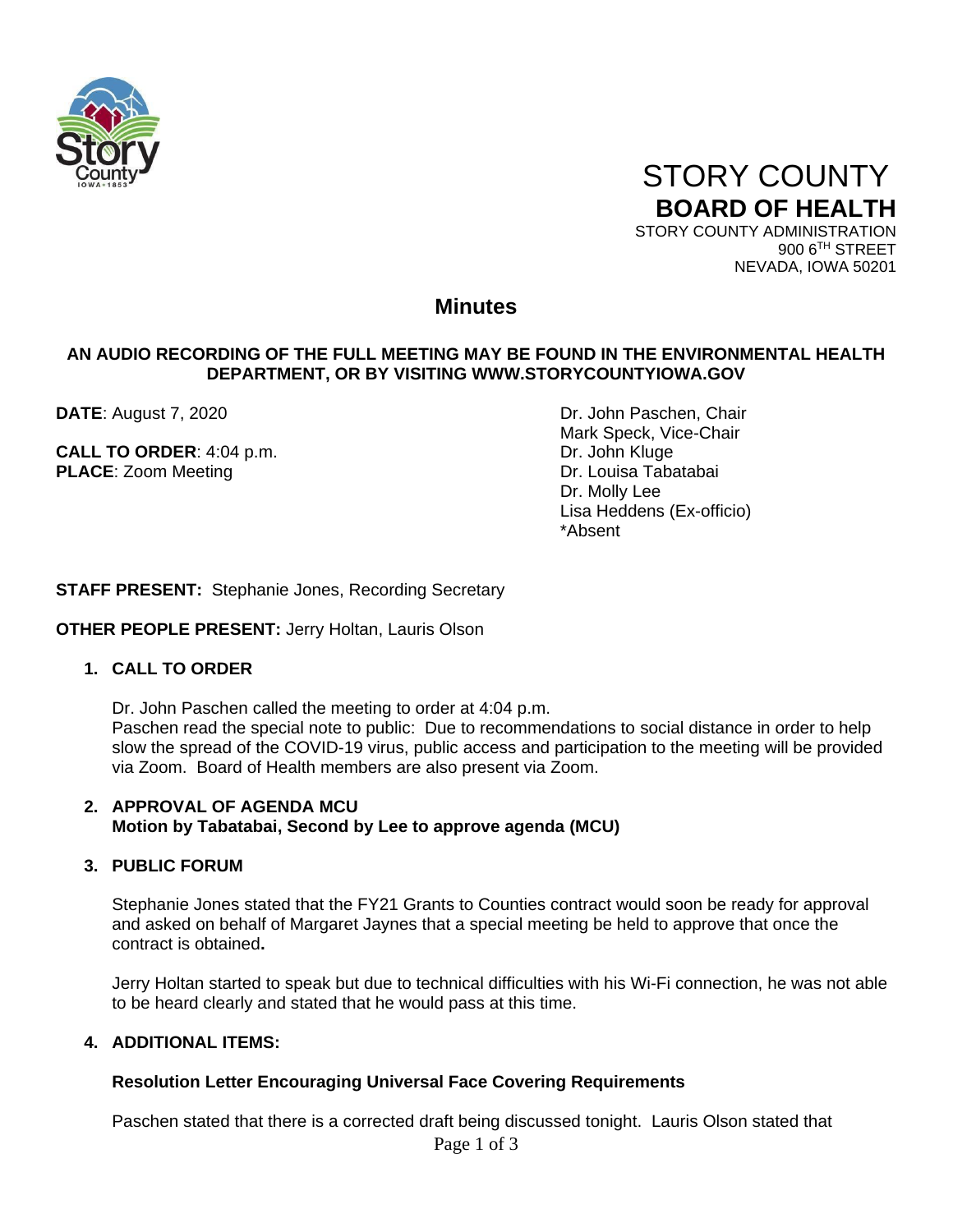



900 6TH STREET NEVADA, IOWA 50201

### **Minutes**

#### **AN AUDIO RECORDING OF THE FULL MEETING MAY BE FOUND IN THE ENVIRONMENTAL HEALTH DEPARTMENT, OR BY VISITING WWW.STORYCOUNTYIOWA.GOV**

**CALL TO ORDER:** 4:04 p.m. **DRIGHTS CALL TO ORDER:** 4:04 p.m. **PLACE:** Zoom Meeting **Dr. Louisa Tabatabai** 

**DATE**: August 7, 2020 **DATE:** August 7, 2020 Mark Speck, Vice-Chair Dr. Molly Lee Lisa Heddens (Ex-officio) \*Absent

**STAFF PRESENT:** Stephanie Jones, Recording Secretary

#### **OTHER PEOPLE PRESENT:** Jerry Holtan, Lauris Olson

#### **1. CALL TO ORDER**

Dr. John Paschen called the meeting to order at 4:04 p.m.

Paschen read the special note to public: Due to recommendations to social distance in order to help slow the spread of the COVID-19 virus, public access and participation to the meeting will be provided via Zoom. Board of Health members are also present via Zoom.

#### **2. APPROVAL OF AGENDA MCU Motion by Tabatabai, Second by Lee to approve agenda (MCU)**

#### **3. PUBLIC FORUM**

Stephanie Jones stated that the FY21 Grants to Counties contract would soon be ready for approval and asked on behalf of Margaret Jaynes that a special meeting be held to approve that once the contract is obtained**.**

Jerry Holtan started to speak but due to technical difficulties with his Wi-Fi connection, he was not able to be heard clearly and stated that he would pass at this time.

#### **4. ADDITIONAL ITEMS:**

#### **Resolution Letter Encouraging Universal Face Covering Requirements**

Paschen stated that there is a corrected draft being discussed tonight. Lauris Olson stated that

Page 1 of 3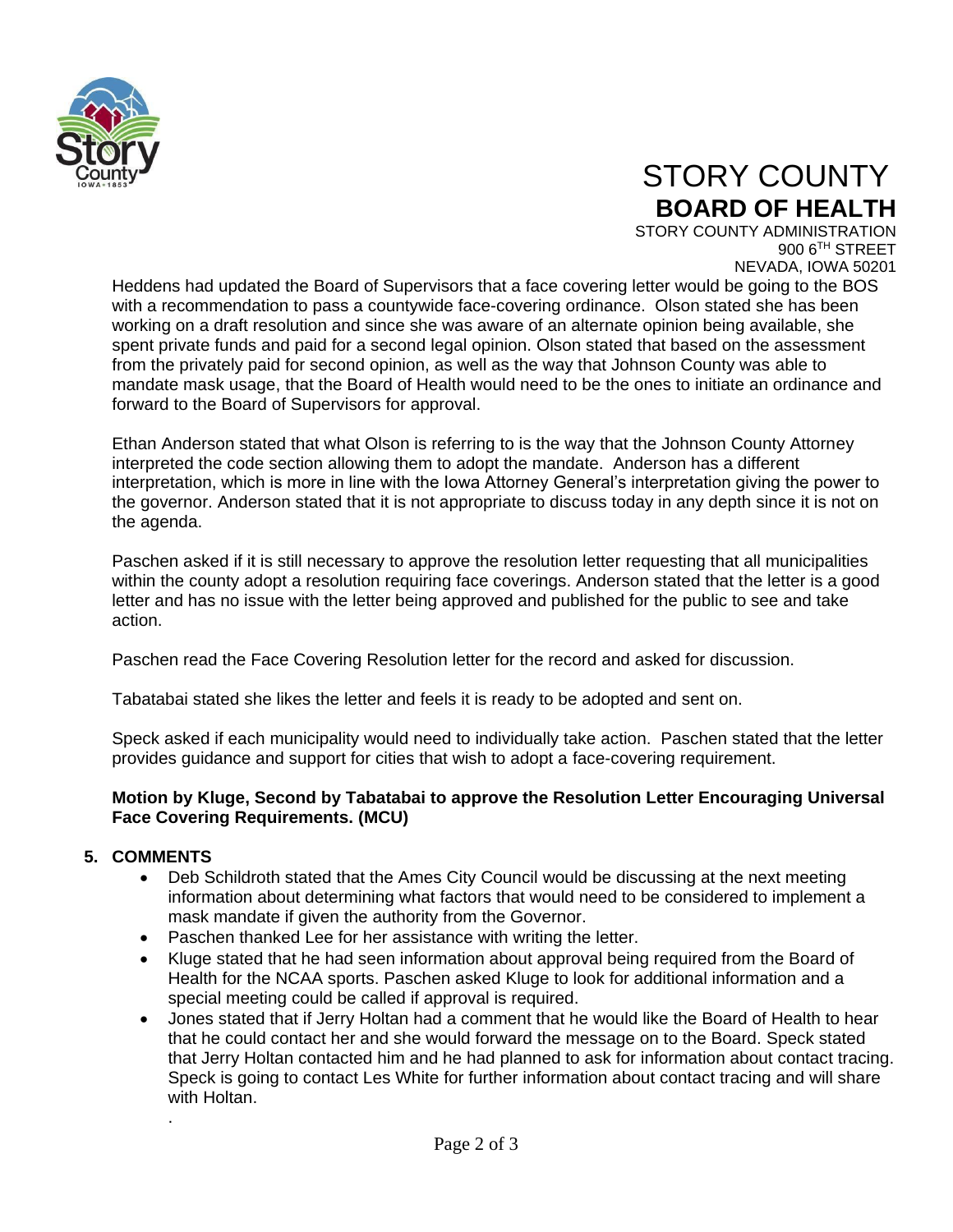

## STORY COUNTY **BOARD OF HEALTH**

STORY COUNTY ADMINISTRATION 900 6TH STREET NEVADA, IOWA 50201

Heddens had updated the Board of Supervisors that a face covering letter would be going to the BOS with a recommendation to pass a countywide face-covering ordinance. Olson stated she has been working on a draft resolution and since she was aware of an alternate opinion being available, she spent private funds and paid for a second legal opinion. Olson stated that based on the assessment from the privately paid for second opinion, as well as the way that Johnson County was able to mandate mask usage, that the Board of Health would need to be the ones to initiate an ordinance and forward to the Board of Supervisors for approval.

Ethan Anderson stated that what Olson is referring to is the way that the Johnson County Attorney interpreted the code section allowing them to adopt the mandate. Anderson has a different interpretation, which is more in line with the Iowa Attorney General's interpretation giving the power to the governor. Anderson stated that it is not appropriate to discuss today in any depth since it is not on the agenda.

Paschen asked if it is still necessary to approve the resolution letter requesting that all municipalities within the county adopt a resolution requiring face coverings. Anderson stated that the letter is a good letter and has no issue with the letter being approved and published for the public to see and take action.

Paschen read the Face Covering Resolution letter for the record and asked for discussion.

Tabatabai stated she likes the letter and feels it is ready to be adopted and sent on.

Speck asked if each municipality would need to individually take action. Paschen stated that the letter provides guidance and support for cities that wish to adopt a face-covering requirement.

#### **Motion by Kluge, Second by Tabatabai to approve the Resolution Letter Encouraging Universal Face Covering Requirements. (MCU)**

#### **5. COMMENTS**

.

- Deb Schildroth stated that the Ames City Council would be discussing at the next meeting information about determining what factors that would need to be considered to implement a mask mandate if given the authority from the Governor.
- Paschen thanked Lee for her assistance with writing the letter.
- Kluge stated that he had seen information about approval being required from the Board of Health for the NCAA sports. Paschen asked Kluge to look for additional information and a special meeting could be called if approval is required.
- Jones stated that if Jerry Holtan had a comment that he would like the Board of Health to hear that he could contact her and she would forward the message on to the Board. Speck stated that Jerry Holtan contacted him and he had planned to ask for information about contact tracing. Speck is going to contact Les White for further information about contact tracing and will share with Holtan.